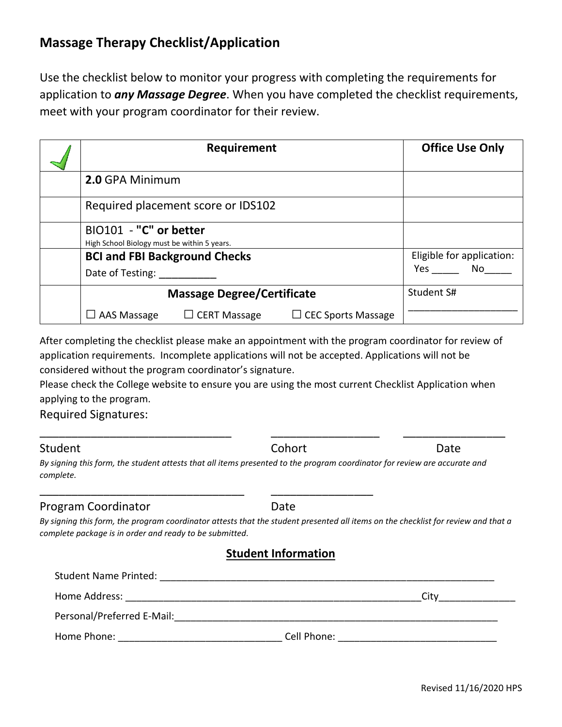# **Massage Therapy Checklist/Application**

Use the checklist below to monitor your progress with completing the requirements for application to *any Massage Degree*. When you have completed the checklist requirements, meet with your program coordinator for their review.

| Requirement                                                            | <b>Office Use Only</b>        |
|------------------------------------------------------------------------|-------------------------------|
| 2.0 GPA Minimum                                                        |                               |
| Required placement score or IDS102                                     |                               |
| BIO101 - "C" or better<br>High School Biology must be within 5 years.  |                               |
| <b>BCI and FBI Background Checks</b>                                   | Eligible for application:     |
| Date of Testing:                                                       | Yes $\qquad \qquad \_$<br>No. |
| <b>Massage Degree/Certificate</b>                                      | Student S#                    |
| $\Box$ CEC Sports Massage<br>$\Box$ CERT Massage<br>$\Box$ AAS Massage |                               |

After completing the checklist please make an appointment with the program coordinator for review of application requirements. Incomplete applications will not be accepted. Applications will not be considered without the program coordinator's signature.

Please check the College website to ensure you are using the most current Checklist Application when applying to the program.

\_\_\_\_\_\_\_\_\_\_\_\_\_\_\_\_\_\_\_\_\_\_\_\_\_\_\_\_\_\_ \_\_\_\_\_\_\_\_\_\_\_\_\_\_\_\_\_ \_\_\_\_\_\_\_\_\_\_\_\_\_\_\_\_

Required Signatures:

### Student **Cohort** Cohort **Cohort** Cohort **Date**

*By signing this form, the student attests that all items presented to the program coordinator for review are accurate and complete.* 

### Program Coordinator **Date**

*By signing this form, the program coordinator attests that the student presented all items on the checklist for review and that a complete package is in order and ready to be submitted.* 

### **Student Information**

| <b>Student Name Printed:</b> |             |  |
|------------------------------|-------------|--|
| Home Address:                |             |  |
| Personal/Preferred E-Mail:   |             |  |
| Home Phone:                  | Cell Phone: |  |

\_\_\_\_\_\_\_\_\_\_\_\_\_\_\_\_\_\_\_\_\_\_\_\_\_\_\_\_\_\_\_\_ \_\_\_\_\_\_\_\_\_\_\_\_\_\_\_\_